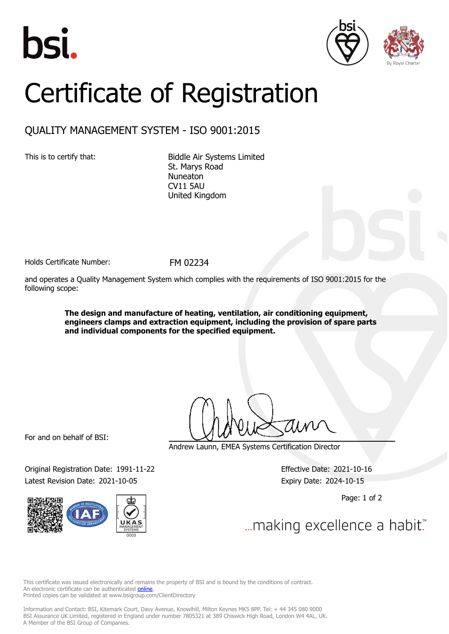





## Certificate of Registration

## QUALITY MANAGEMENT SYSTEM - ISO 9001:2015

This is to certify that: Biddle Air Systems Limited St. Marys Road Nuneaton CV11 5AU United Kingdom

Holds Certificate Number: FM 02234

and operates a Quality Management System which complies with the requirements of ISO 9001:2015 for the following scope:

> **The design and manufacture of heating, ventilation, air conditioning equipment, engineers clamps and extraction equipment, including the provision of spare parts and individual components for the specified equipment.**

For and on behalf of BSI:

Original Registration Date: 1991-11-22 Effective Date: 2021-10-16 Latest Revision Date: 2021-10-05 Expiry Date: 2024-10-15



Andrew Launn, EMEA Systems Certification Director

Page: 1 of 2

... making excellence a habit.

This certificate was issued electronically and remains the property of BSI and is bound by the conditions of contract. An electronic certificate can be authenticated **[online](https://pgplus.bsigroup.com/CertificateValidation/CertificateValidator.aspx?CertificateNumber=FM+02234&ReIssueDate=05%2f10%2f2021&Template=uk)**. Printed copies can be validated at www.bsigroup.com/ClientDirectory

Information and Contact: BSI, Kitemark Court, Davy Avenue, Knowlhill, Milton Keynes MK5 8PP. Tel: + 44 345 080 9000 BSI Assurance UK Limited, registered in England under number 7805321 at 389 Chiswick High Road, London W4 4AL, UK. A Member of the BSI Group of Companies.